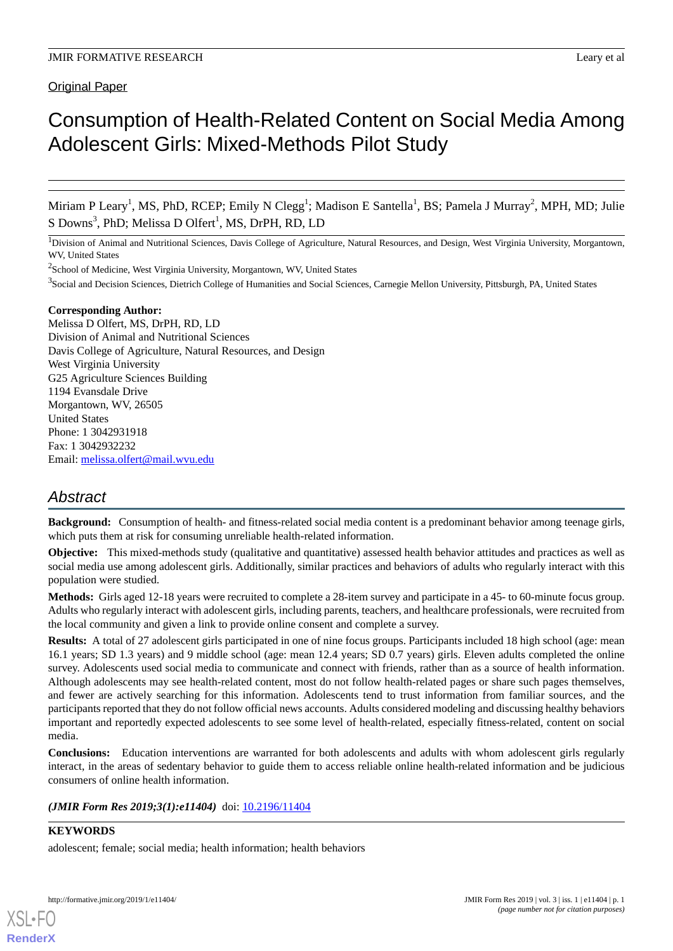# Original Paper

# Consumption of Health-Related Content on Social Media Among Adolescent Girls: Mixed-Methods Pilot Study

Miriam P Leary<sup>1</sup>, MS, PhD, RCEP; Emily N Clegg<sup>1</sup>; Madison E Santella<sup>1</sup>, BS; Pamela J Murray<sup>2</sup>, MPH, MD; Julie S Downs<sup>3</sup>, PhD; Melissa D Olfert<sup>1</sup>, MS, DrPH, RD, LD

<sup>1</sup>Division of Animal and Nutritional Sciences, Davis College of Agriculture, Natural Resources, and Design, West Virginia University, Morgantown, WV, United States

<sup>2</sup>School of Medicine, West Virginia University, Morgantown, WV, United States

<sup>3</sup>Social and Decision Sciences, Dietrich College of Humanities and Social Sciences, Carnegie Mellon University, Pittsburgh, PA, United States

### **Corresponding Author:**

Melissa D Olfert, MS, DrPH, RD, LD Division of Animal and Nutritional Sciences Davis College of Agriculture, Natural Resources, and Design West Virginia University G25 Agriculture Sciences Building 1194 Evansdale Drive Morgantown, WV, 26505 United States Phone: 1 3042931918 Fax: 1 3042932232 Email: [melissa.olfert@mail.wvu.edu](mailto:melissa.olfert@mail.wvu.edu)

# *Abstract*

**Background:** Consumption of health- and fitness-related social media content is a predominant behavior among teenage girls, which puts them at risk for consuming unreliable health-related information.

**Objective:** This mixed-methods study (qualitative and quantitative) assessed health behavior attitudes and practices as well as social media use among adolescent girls. Additionally, similar practices and behaviors of adults who regularly interact with this population were studied.

**Methods:** Girls aged 12-18 years were recruited to complete a 28-item survey and participate in a 45- to 60-minute focus group. Adults who regularly interact with adolescent girls, including parents, teachers, and healthcare professionals, were recruited from the local community and given a link to provide online consent and complete a survey.

**Results:** A total of 27 adolescent girls participated in one of nine focus groups. Participants included 18 high school (age: mean 16.1 years; SD 1.3 years) and 9 middle school (age: mean 12.4 years; SD 0.7 years) girls. Eleven adults completed the online survey. Adolescents used social media to communicate and connect with friends, rather than as a source of health information. Although adolescents may see health-related content, most do not follow health-related pages or share such pages themselves, and fewer are actively searching for this information. Adolescents tend to trust information from familiar sources, and the participants reported that they do not follow official news accounts. Adults considered modeling and discussing healthy behaviors important and reportedly expected adolescents to see some level of health-related, especially fitness-related, content on social media.

**Conclusions:** Education interventions are warranted for both adolescents and adults with whom adolescent girls regularly interact, in the areas of sedentary behavior to guide them to access reliable online health-related information and be judicious consumers of online health information.

*(JMIR Form Res 2019;3(1):e11404)* doi: [10.2196/11404](http://dx.doi.org/10.2196/11404)

### **KEYWORDS**

[XSL](http://www.w3.org/Style/XSL)•FO **[RenderX](http://www.renderx.com/)**

adolescent; female; social media; health information; health behaviors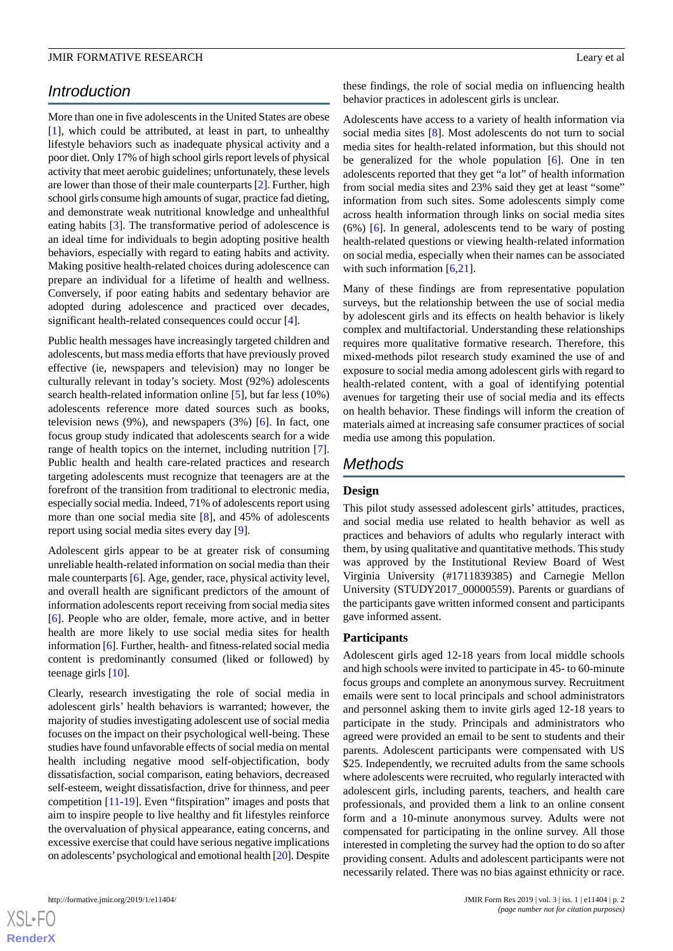# *Introduction*

More than one in five adolescents in the United States are obese [[1\]](#page-8-0), which could be attributed, at least in part, to unhealthy lifestyle behaviors such as inadequate physical activity and a poor diet. Only 17% of high school girls report levels of physical activity that meet aerobic guidelines; unfortunately, these levels are lower than those of their male counterparts [\[2](#page-8-1)]. Further, high school girls consume high amounts of sugar, practice fad dieting, and demonstrate weak nutritional knowledge and unhealthful eating habits [\[3](#page-8-2)]. The transformative period of adolescence is an ideal time for individuals to begin adopting positive health behaviors, especially with regard to eating habits and activity. Making positive health-related choices during adolescence can prepare an individual for a lifetime of health and wellness. Conversely, if poor eating habits and sedentary behavior are adopted during adolescence and practiced over decades, significant health-related consequences could occur [[4\]](#page-8-3).

Public health messages have increasingly targeted children and adolescents, but mass media efforts that have previously proved effective (ie, newspapers and television) may no longer be culturally relevant in today's society. Most (92%) adolescents search health-related information online [[5\]](#page-8-4), but far less (10%) adolescents reference more dated sources such as books, television news (9%), and newspapers (3%) [[6\]](#page-8-5). In fact, one focus group study indicated that adolescents search for a wide range of health topics on the internet, including nutrition [[7\]](#page-8-6). Public health and health care-related practices and research targeting adolescents must recognize that teenagers are at the forefront of the transition from traditional to electronic media, especially social media. Indeed, 71% of adolescents report using more than one social media site [\[8](#page-8-7)], and 45% of adolescents report using social media sites every day [[9\]](#page-9-0).

Adolescent girls appear to be at greater risk of consuming unreliable health-related information on social media than their male counterparts [\[6](#page-8-5)]. Age, gender, race, physical activity level, and overall health are significant predictors of the amount of information adolescents report receiving from social media sites [[6\]](#page-8-5). People who are older, female, more active, and in better health are more likely to use social media sites for health information [\[6](#page-8-5)]. Further, health- and fitness-related social media content is predominantly consumed (liked or followed) by teenage girls [\[10](#page-9-1)].

Clearly, research investigating the role of social media in adolescent girls' health behaviors is warranted; however, the majority of studies investigating adolescent use of social media focuses on the impact on their psychological well-being. These studies have found unfavorable effects of social media on mental health including negative mood self-objectification, body dissatisfaction, social comparison, eating behaviors, decreased self-esteem, weight dissatisfaction, drive for thinness, and peer competition [\[11](#page-9-2)-[19\]](#page-9-3). Even "fitspiration" images and posts that aim to inspire people to live healthy and fit lifestyles reinforce the overvaluation of physical appearance, eating concerns, and excessive exercise that could have serious negative implications on adolescents'psychological and emotional health [[20](#page-9-4)]. Despite

these findings, the role of social media on influencing health behavior practices in adolescent girls is unclear.

Adolescents have access to a variety of health information via social media sites [\[8](#page-8-7)]. Most adolescents do not turn to social media sites for health-related information, but this should not be generalized for the whole population [\[6](#page-8-5)]. One in ten adolescents reported that they get "a lot" of health information from social media sites and 23% said they get at least "some" information from such sites. Some adolescents simply come across health information through links on social media sites (6%) [[6\]](#page-8-5). In general, adolescents tend to be wary of posting health-related questions or viewing health-related information on social media, especially when their names can be associated with such information  $[6,21]$  $[6,21]$  $[6,21]$  $[6,21]$ .

Many of these findings are from representative population surveys, but the relationship between the use of social media by adolescent girls and its effects on health behavior is likely complex and multifactorial. Understanding these relationships requires more qualitative formative research. Therefore, this mixed-methods pilot research study examined the use of and exposure to social media among adolescent girls with regard to health-related content, with a goal of identifying potential avenues for targeting their use of social media and its effects on health behavior. These findings will inform the creation of materials aimed at increasing safe consumer practices of social media use among this population.

# *Methods*

### **Design**

This pilot study assessed adolescent girls' attitudes, practices, and social media use related to health behavior as well as practices and behaviors of adults who regularly interact with them, by using qualitative and quantitative methods. This study was approved by the Institutional Review Board of West Virginia University (#1711839385) and Carnegie Mellon University (STUDY2017\_00000559). Parents or guardians of the participants gave written informed consent and participants gave informed assent.

### **Participants**

Adolescent girls aged 12-18 years from local middle schools and high schools were invited to participate in 45- to 60-minute focus groups and complete an anonymous survey. Recruitment emails were sent to local principals and school administrators and personnel asking them to invite girls aged 12-18 years to participate in the study. Principals and administrators who agreed were provided an email to be sent to students and their parents. Adolescent participants were compensated with US \$25. Independently, we recruited adults from the same schools where adolescents were recruited, who regularly interacted with adolescent girls, including parents, teachers, and health care professionals, and provided them a link to an online consent form and a 10-minute anonymous survey. Adults were not compensated for participating in the online survey. All those interested in completing the survey had the option to do so after providing consent. Adults and adolescent participants were not necessarily related. There was no bias against ethnicity or race.

 $XS$  • FC **[RenderX](http://www.renderx.com/)**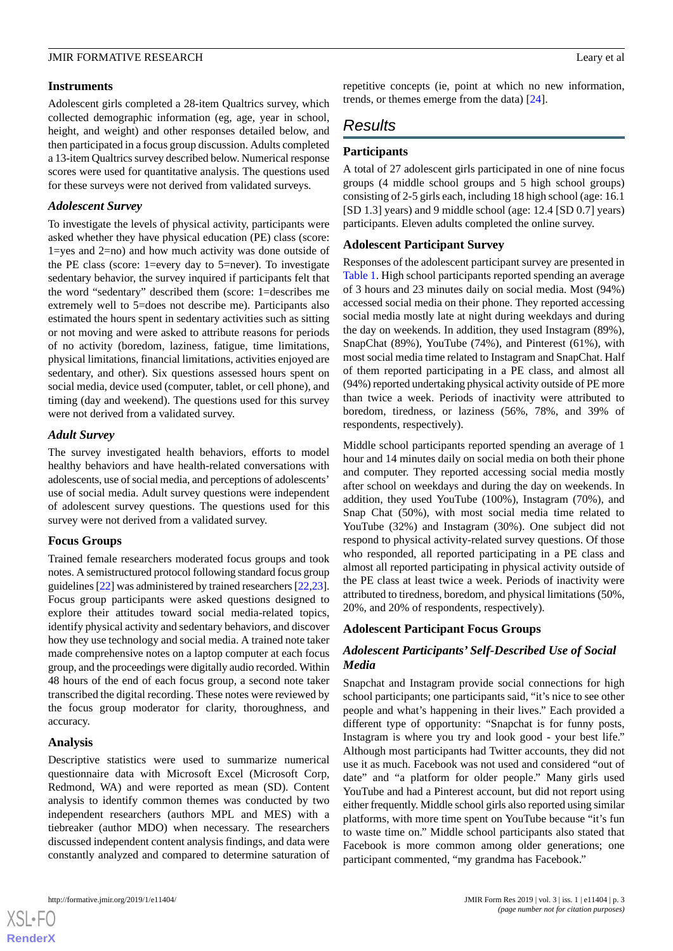### **Instruments**

Adolescent girls completed a 28-item Qualtrics survey, which collected demographic information (eg, age, year in school, height, and weight) and other responses detailed below, and then participated in a focus group discussion. Adults completed a 13-item Qualtrics survey described below. Numerical response scores were used for quantitative analysis. The questions used for these surveys were not derived from validated surveys.

### *Adolescent Survey*

To investigate the levels of physical activity, participants were asked whether they have physical education (PE) class (score: 1=yes and 2=no) and how much activity was done outside of the PE class (score: 1=every day to 5=never). To investigate sedentary behavior, the survey inquired if participants felt that the word "sedentary" described them (score: 1=describes me extremely well to 5=does not describe me). Participants also estimated the hours spent in sedentary activities such as sitting or not moving and were asked to attribute reasons for periods of no activity (boredom, laziness, fatigue, time limitations, physical limitations, financial limitations, activities enjoyed are sedentary, and other). Six questions assessed hours spent on social media, device used (computer, tablet, or cell phone), and timing (day and weekend). The questions used for this survey were not derived from a validated survey.

### *Adult Survey*

The survey investigated health behaviors, efforts to model healthy behaviors and have health-related conversations with adolescents, use of social media, and perceptions of adolescents' use of social media. Adult survey questions were independent of adolescent survey questions. The questions used for this survey were not derived from a validated survey.

### **Focus Groups**

Trained female researchers moderated focus groups and took notes. A semistructured protocol following standard focus group guidelines [\[22](#page-9-6)] was administered by trained researchers [[22,](#page-9-6)[23\]](#page-9-7). Focus group participants were asked questions designed to explore their attitudes toward social media-related topics, identify physical activity and sedentary behaviors, and discover how they use technology and social media. A trained note taker made comprehensive notes on a laptop computer at each focus group, and the proceedings were digitally audio recorded. Within 48 hours of the end of each focus group, a second note taker transcribed the digital recording. These notes were reviewed by the focus group moderator for clarity, thoroughness, and accuracy.

### **Analysis**

[XSL](http://www.w3.org/Style/XSL)•FO **[RenderX](http://www.renderx.com/)**

Descriptive statistics were used to summarize numerical questionnaire data with Microsoft Excel (Microsoft Corp, Redmond, WA) and were reported as mean (SD). Content analysis to identify common themes was conducted by two independent researchers (authors MPL and MES) with a tiebreaker (author MDO) when necessary. The researchers discussed independent content analysis findings, and data were constantly analyzed and compared to determine saturation of repetitive concepts (ie, point at which no new information, trends, or themes emerge from the data) [[24\]](#page-9-8).

# *Results*

# **Participants**

A total of 27 adolescent girls participated in one of nine focus groups (4 middle school groups and 5 high school groups) consisting of 2-5 girls each, including 18 high school (age: 16.1 [SD 1.3] years) and 9 middle school (age: 12.4 [SD 0.7] years) participants. Eleven adults completed the online survey.

### **Adolescent Participant Survey**

Responses of the adolescent participant survey are presented in [Table 1.](#page-3-0) High school participants reported spending an average of 3 hours and 23 minutes daily on social media. Most (94%) accessed social media on their phone. They reported accessing social media mostly late at night during weekdays and during the day on weekends. In addition, they used Instagram (89%), SnapChat (89%), YouTube (74%), and Pinterest (61%), with most social media time related to Instagram and SnapChat. Half of them reported participating in a PE class, and almost all (94%) reported undertaking physical activity outside of PE more than twice a week. Periods of inactivity were attributed to boredom, tiredness, or laziness (56%, 78%, and 39% of respondents, respectively).

Middle school participants reported spending an average of 1 hour and 14 minutes daily on social media on both their phone and computer. They reported accessing social media mostly after school on weekdays and during the day on weekends. In addition, they used YouTube (100%), Instagram (70%), and Snap Chat (50%), with most social media time related to YouTube (32%) and Instagram (30%). One subject did not respond to physical activity-related survey questions. Of those who responded, all reported participating in a PE class and almost all reported participating in physical activity outside of the PE class at least twice a week. Periods of inactivity were attributed to tiredness, boredom, and physical limitations (50%, 20%, and 20% of respondents, respectively).

### **Adolescent Participant Focus Groups**

# *Adolescent Participants' Self-Described Use of Social Media*

Snapchat and Instagram provide social connections for high school participants; one participants said, "it's nice to see other people and what's happening in their lives." Each provided a different type of opportunity: "Snapchat is for funny posts, Instagram is where you try and look good - your best life." Although most participants had Twitter accounts, they did not use it as much. Facebook was not used and considered "out of date" and "a platform for older people." Many girls used YouTube and had a Pinterest account, but did not report using either frequently. Middle school girls also reported using similar platforms, with more time spent on YouTube because "it's fun to waste time on." Middle school participants also stated that Facebook is more common among older generations; one participant commented, "my grandma has Facebook."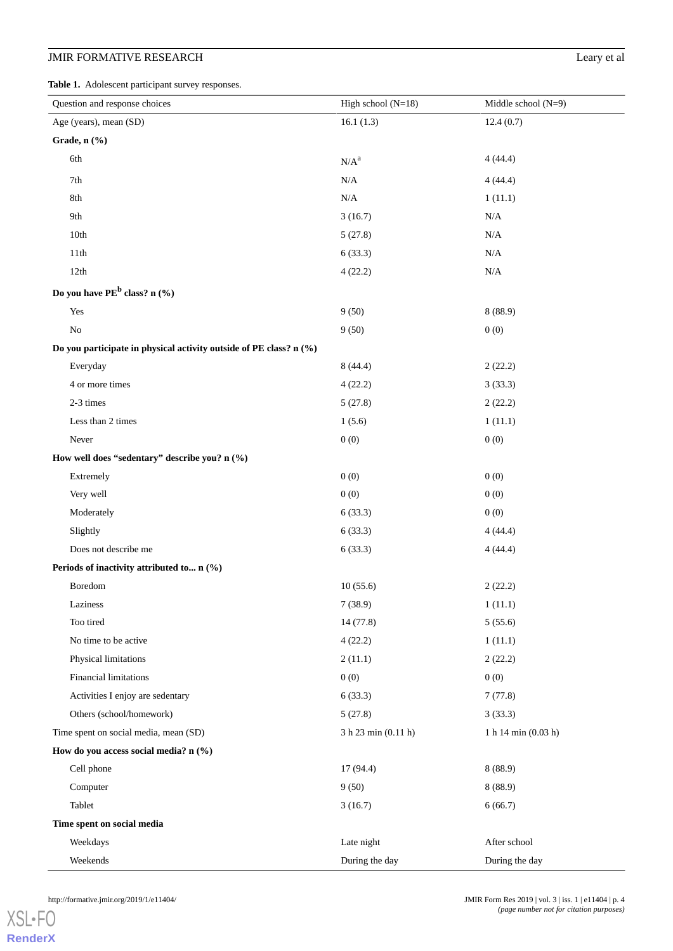# **JMIR FORMATIVE RESEARCH** Leary et al

<span id="page-3-0"></span>**Table 1.** Adolescent participant survey responses.

| Question and response choices                                      | High school $(N=18)$ | Middle school $(N=9)$ |  |  |  |
|--------------------------------------------------------------------|----------------------|-----------------------|--|--|--|
| Age (years), mean (SD)                                             | 16.1(1.3)            | 12.4(0.7)             |  |  |  |
| Grade, n (%)                                                       |                      |                       |  |  |  |
| 6th                                                                | $N/A^a$              | 4(44.4)               |  |  |  |
| 7th                                                                | N/A                  | 4(44.4)               |  |  |  |
| 8th                                                                | $\rm N/A$            | 1(11.1)               |  |  |  |
| 9th                                                                | 3(16.7)              | N/A                   |  |  |  |
| 10th                                                               | 5(27.8)              | $\rm N/A$             |  |  |  |
| 11th                                                               | 6(33.3)              | $\rm N/A$             |  |  |  |
| 12th                                                               | 4(22.2)              | $\rm N/A$             |  |  |  |
| Do you have PE <sup>b</sup> class? n (%)                           |                      |                       |  |  |  |
| Yes                                                                | 9(50)                | 8(88.9)               |  |  |  |
| No                                                                 | 9(50)                | 0(0)                  |  |  |  |
| Do you participate in physical activity outside of PE class? n (%) |                      |                       |  |  |  |
| Everyday                                                           | 8(44.4)              | 2(22.2)               |  |  |  |
| 4 or more times                                                    | 4(22.2)              | 3(33.3)               |  |  |  |
| 2-3 times                                                          | 5(27.8)              | 2(22.2)               |  |  |  |
| Less than 2 times                                                  | 1(5.6)               | 1(11.1)               |  |  |  |
| Never                                                              | 0(0)                 | 0(0)                  |  |  |  |
| How well does "sedentary" describe you? n (%)                      |                      |                       |  |  |  |
| Extremely                                                          | 0(0)                 | 0(0)                  |  |  |  |
| Very well                                                          | 0(0)                 | 0(0)                  |  |  |  |
| Moderately                                                         | 6(33.3)              | 0(0)                  |  |  |  |
| Slightly                                                           | 6(33.3)              | 4(44.4)               |  |  |  |
| Does not describe me                                               | 6(33.3)              | 4(44.4)               |  |  |  |
| Periods of inactivity attributed to n (%)                          |                      |                       |  |  |  |
| Boredom                                                            | 10(55.6)             | 2(22.2)               |  |  |  |
| Laziness                                                           | 7(38.9)              | 1(11.1)               |  |  |  |
| Too tired                                                          | 14 (77.8)            | 5(55.6)               |  |  |  |
| No time to be active                                               | 4(22.2)              | 1(11.1)               |  |  |  |
| Physical limitations                                               | 2(11.1)              | 2(22.2)               |  |  |  |
| Financial limitations                                              | 0(0)                 | 0(0)                  |  |  |  |
| Activities I enjoy are sedentary                                   | 6(33.3)              | 7(77.8)               |  |  |  |
| Others (school/homework)                                           | 5(27.8)              | 3(33.3)               |  |  |  |
| Time spent on social media, mean (SD)                              | 3 h 23 min (0.11 h)  | 1 h 14 min (0.03 h)   |  |  |  |
| How do you access social media? n (%)                              |                      |                       |  |  |  |
| Cell phone                                                         | 17 (94.4)            | 8(88.9)               |  |  |  |
| Computer                                                           | 9(50)                | 8(88.9)               |  |  |  |
| Tablet                                                             | 3(16.7)              | 6(66.7)               |  |  |  |
| Time spent on social media                                         |                      |                       |  |  |  |
| Weekdays                                                           | Late night           | After school          |  |  |  |
| Weekends                                                           | During the day       | During the day        |  |  |  |

[XSL](http://www.w3.org/Style/XSL)•FO **[RenderX](http://www.renderx.com/)**

http://formative.jmir.org/2019/1/e11404/ JMIR Form Res 2019 | vol. 3 | iss. 1 | e11404 | p. 4 *(page number not for citation purposes)*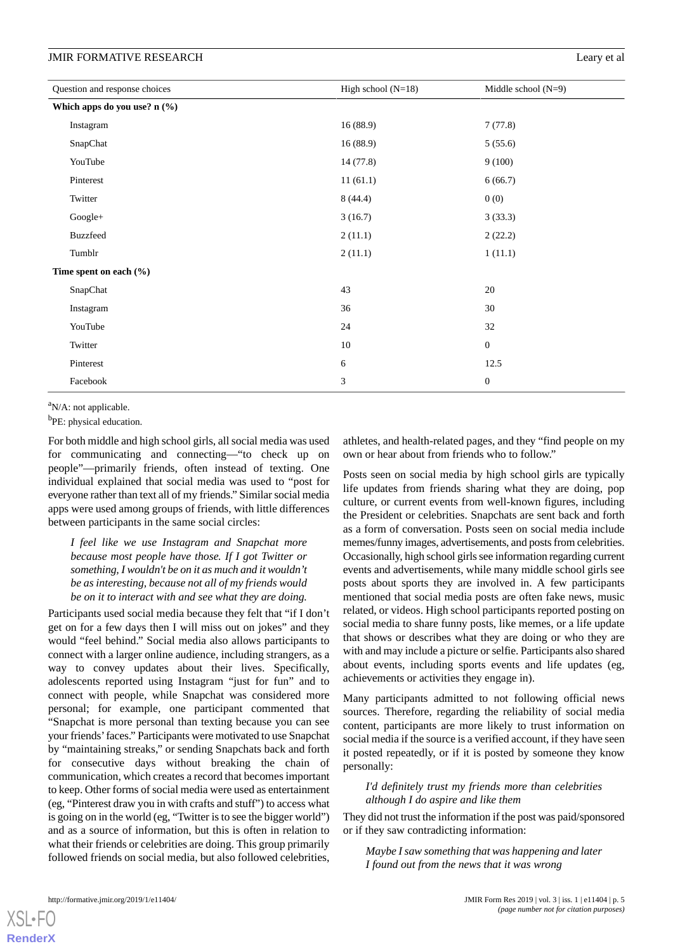| Question and response choices | High school $(N=18)$ | Middle school $(N=9)$ |
|-------------------------------|----------------------|-----------------------|
| Which apps do you use? n (%)  |                      |                       |
| Instagram                     | 16(88.9)             | 7(77.8)               |
| SnapChat                      | 16(88.9)             | 5(55.6)               |
| YouTube                       | 14 (77.8)            | 9(100)                |
| Pinterest                     | 11(61.1)             | 6(66.7)               |
| Twitter                       | 8(44.4)              | 0(0)                  |
| Google+                       | 3(16.7)              | 3(33.3)               |
| <b>Buzzfeed</b>               | 2(11.1)              | 2(22.2)               |
| Tumblr                        | 2(11.1)              | 1(11.1)               |
| Time spent on each (%)        |                      |                       |
| SnapChat                      | 43                   | 20                    |
| Instagram                     | 36                   | 30                    |
| YouTube                       | 24                   | 32                    |
| Twitter                       | 10                   | $\mathbf{0}$          |
| Pinterest                     | 6                    | 12.5                  |
| Facebook                      | 3                    | $\mathbf{0}$          |

 $a$ N/A: not applicable.

<sup>b</sup>PE: physical education.

For both middle and high school girls, all social media was used for communicating and connecting—"to check up on people"—primarily friends, often instead of texting. One individual explained that social media was used to "post for everyone rather than text all of my friends." Similar social media apps were used among groups of friends, with little differences between participants in the same social circles:

*I feel like we use Instagram and Snapchat more because most people have those. If I got Twitter or something, I wouldn't be on it as much and it wouldn't be as interesting, because not all of my friends would be on it to interact with and see what they are doing.*

Participants used social media because they felt that "if I don't get on for a few days then I will miss out on jokes" and they would "feel behind." Social media also allows participants to connect with a larger online audience, including strangers, as a way to convey updates about their lives. Specifically, adolescents reported using Instagram "just for fun" and to connect with people, while Snapchat was considered more personal; for example, one participant commented that "Snapchat is more personal than texting because you can see your friends'faces." Participants were motivated to use Snapchat by "maintaining streaks," or sending Snapchats back and forth for consecutive days without breaking the chain of communication, which creates a record that becomes important to keep. Other forms of social media were used as entertainment (eg, "Pinterest draw you in with crafts and stuff") to access what is going on in the world (eg, "Twitter is to see the bigger world") and as a source of information, but this is often in relation to what their friends or celebrities are doing. This group primarily followed friends on social media, but also followed celebrities,

athletes, and health-related pages, and they "find people on my own or hear about from friends who to follow."

Posts seen on social media by high school girls are typically life updates from friends sharing what they are doing, pop culture, or current events from well-known figures, including the President or celebrities. Snapchats are sent back and forth as a form of conversation. Posts seen on social media include memes/funny images, advertisements, and posts from celebrities. Occasionally, high school girls see information regarding current events and advertisements, while many middle school girls see posts about sports they are involved in. A few participants mentioned that social media posts are often fake news, music related, or videos. High school participants reported posting on social media to share funny posts, like memes, or a life update that shows or describes what they are doing or who they are with and may include a picture or selfie. Participants also shared about events, including sports events and life updates (eg, achievements or activities they engage in).

Many participants admitted to not following official news sources. Therefore, regarding the reliability of social media content, participants are more likely to trust information on social media if the source is a verified account, if they have seen it posted repeatedly, or if it is posted by someone they know personally:

### *I'd definitely trust my friends more than celebrities although I do aspire and like them*

They did not trust the information if the post was paid/sponsored or if they saw contradicting information:

*Maybe I saw something that was happening and later I found out from the news that it was wrong*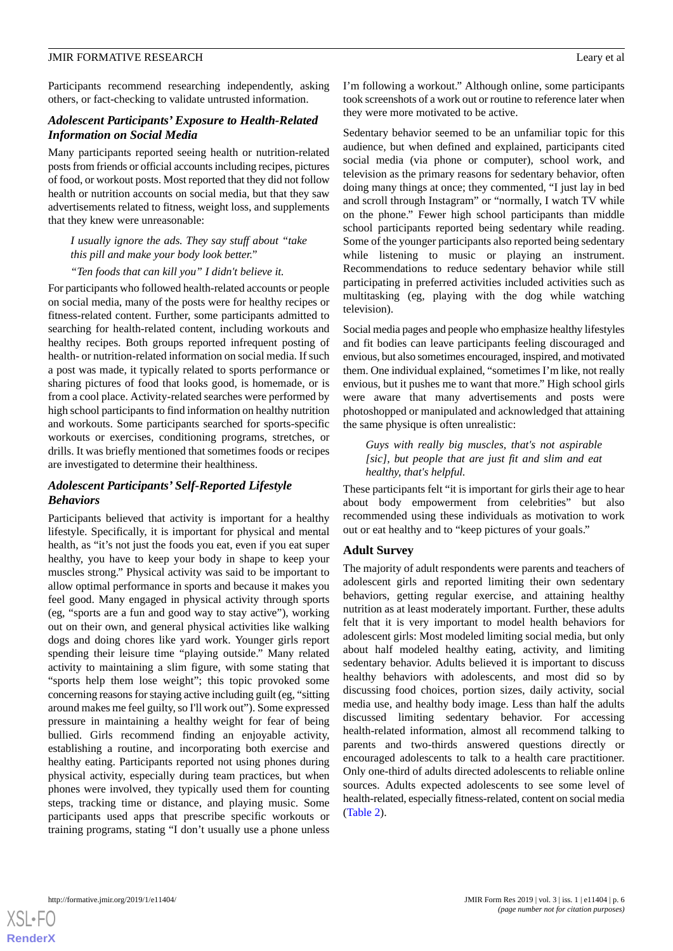Participants recommend researching independently, asking others, or fact-checking to validate untrusted information.

### *Adolescent Participants' Exposure to Health-Related Information on Social Media*

Many participants reported seeing health or nutrition-related posts from friends or official accounts including recipes, pictures of food, or workout posts. Most reported that they did not follow health or nutrition accounts on social media, but that they saw advertisements related to fitness, weight loss, and supplements that they knew were unreasonable:

*I usually ignore the ads. They say stuff about "take this pill and make your body look better."*

*"Ten foods that can kill you" I didn't believe it.*

For participants who followed health-related accounts or people on social media, many of the posts were for healthy recipes or fitness-related content. Further, some participants admitted to searching for health-related content, including workouts and healthy recipes. Both groups reported infrequent posting of health- or nutrition-related information on social media. If such a post was made, it typically related to sports performance or sharing pictures of food that looks good, is homemade, or is from a cool place. Activity-related searches were performed by high school participants to find information on healthy nutrition and workouts. Some participants searched for sports-specific workouts or exercises, conditioning programs, stretches, or drills. It was briefly mentioned that sometimes foods or recipes are investigated to determine their healthiness.

# *Adolescent Participants' Self-Reported Lifestyle Behaviors*

Participants believed that activity is important for a healthy lifestyle. Specifically, it is important for physical and mental health, as "it's not just the foods you eat, even if you eat super healthy, you have to keep your body in shape to keep your muscles strong." Physical activity was said to be important to allow optimal performance in sports and because it makes you feel good. Many engaged in physical activity through sports (eg, "sports are a fun and good way to stay active"), working out on their own, and general physical activities like walking dogs and doing chores like yard work. Younger girls report spending their leisure time "playing outside." Many related activity to maintaining a slim figure, with some stating that "sports help them lose weight"; this topic provoked some concerning reasons for staying active including guilt (eg, "sitting around makes me feel guilty, so I'll work out"). Some expressed pressure in maintaining a healthy weight for fear of being bullied. Girls recommend finding an enjoyable activity, establishing a routine, and incorporating both exercise and healthy eating. Participants reported not using phones during physical activity, especially during team practices, but when phones were involved, they typically used them for counting steps, tracking time or distance, and playing music. Some participants used apps that prescribe specific workouts or training programs, stating "I don't usually use a phone unless

I'm following a workout." Although online, some participants took screenshots of a work out or routine to reference later when they were more motivated to be active.

Sedentary behavior seemed to be an unfamiliar topic for this audience, but when defined and explained, participants cited social media (via phone or computer), school work, and television as the primary reasons for sedentary behavior, often doing many things at once; they commented, "I just lay in bed and scroll through Instagram" or "normally, I watch TV while on the phone." Fewer high school participants than middle school participants reported being sedentary while reading. Some of the younger participants also reported being sedentary while listening to music or playing an instrument. Recommendations to reduce sedentary behavior while still participating in preferred activities included activities such as multitasking (eg, playing with the dog while watching television).

Social media pages and people who emphasize healthy lifestyles and fit bodies can leave participants feeling discouraged and envious, but also sometimes encouraged, inspired, and motivated them. One individual explained, "sometimes I'm like, not really envious, but it pushes me to want that more." High school girls were aware that many advertisements and posts were photoshopped or manipulated and acknowledged that attaining the same physique is often unrealistic:

*Guys with really big muscles, that's not aspirable [sic], but people that are just fit and slim and eat healthy, that's helpful.*

These participants felt "it is important for girls their age to hear about body empowerment from celebrities" but also recommended using these individuals as motivation to work out or eat healthy and to "keep pictures of your goals."

### **Adult Survey**

The majority of adult respondents were parents and teachers of adolescent girls and reported limiting their own sedentary behaviors, getting regular exercise, and attaining healthy nutrition as at least moderately important. Further, these adults felt that it is very important to model health behaviors for adolescent girls: Most modeled limiting social media, but only about half modeled healthy eating, activity, and limiting sedentary behavior. Adults believed it is important to discuss healthy behaviors with adolescents, and most did so by discussing food choices, portion sizes, daily activity, social media use, and healthy body image. Less than half the adults discussed limiting sedentary behavior. For accessing health-related information, almost all recommend talking to parents and two-thirds answered questions directly or encouraged adolescents to talk to a health care practitioner. Only one-third of adults directed adolescents to reliable online sources. Adults expected adolescents to see some level of health-related, especially fitness-related, content on social media ([Table 2](#page-6-0)).

 $XS$  $\cdot$ FC **[RenderX](http://www.renderx.com/)**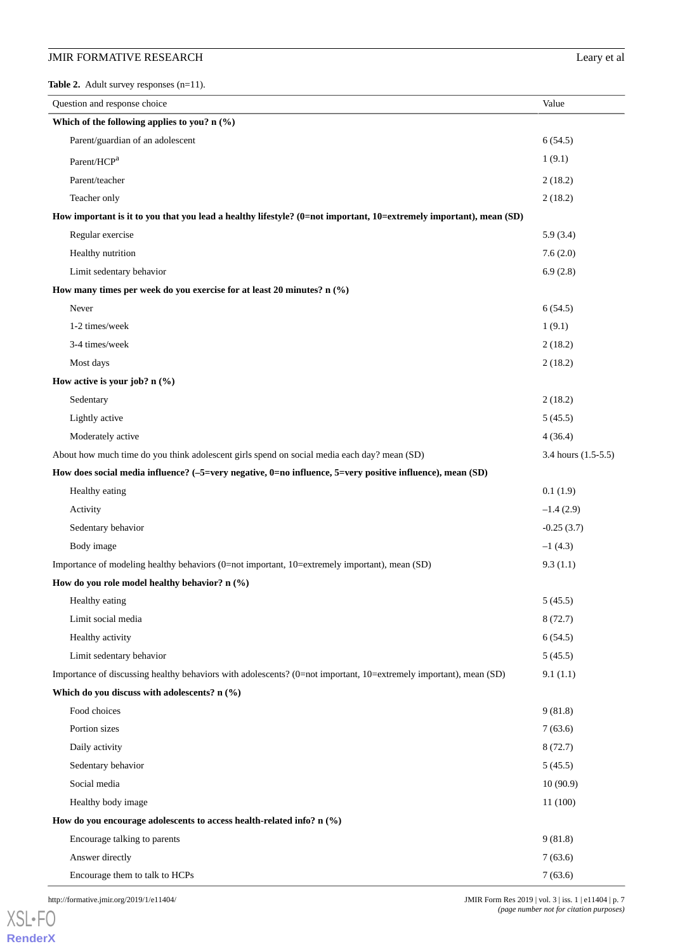# **JMIR FORMATIVE RESEARCH** Leary et al

<span id="page-6-0"></span>**Table 2.** Adult survey responses (n=11).

| Question and response choice                                                                                       | Value               |
|--------------------------------------------------------------------------------------------------------------------|---------------------|
| Which of the following applies to you? $n$ (%)                                                                     |                     |
| Parent/guardian of an adolescent                                                                                   | 6(54.5)             |
| Parent/HCP <sup>a</sup>                                                                                            | 1(9.1)              |
| Parent/teacher                                                                                                     | 2(18.2)             |
| Teacher only                                                                                                       | 2(18.2)             |
| How important is it to you that you lead a healthy lifestyle? (0=not important, 10=extremely important), mean (SD) |                     |
| Regular exercise                                                                                                   | 5.9(3.4)            |
| Healthy nutrition                                                                                                  | 7.6(2.0)            |
| Limit sedentary behavior                                                                                           | 6.9(2.8)            |
| How many times per week do you exercise for at least 20 minutes? n (%)                                             |                     |
| Never                                                                                                              | 6(54.5)             |
| 1-2 times/week                                                                                                     | 1(9.1)              |
| 3-4 times/week                                                                                                     | 2(18.2)             |
| Most days                                                                                                          | 2(18.2)             |
| How active is your job? $n$ (%)                                                                                    |                     |
| Sedentary                                                                                                          | 2(18.2)             |
| Lightly active                                                                                                     | 5(45.5)             |
| Moderately active                                                                                                  | 4(36.4)             |
| About how much time do you think adolescent girls spend on social media each day? mean (SD)                        | 3.4 hours (1.5-5.5) |
| How does social media influence? (-5=very negative, 0=no influence, 5=very positive influence), mean (SD)          |                     |
| Healthy eating                                                                                                     | 0.1(1.9)            |
| Activity                                                                                                           | $-1.4(2.9)$         |
| Sedentary behavior                                                                                                 | $-0.25(3.7)$        |
| Body image                                                                                                         | $-1(4.3)$           |
| Importance of modeling healthy behaviors (0=not important, 10=extremely important), mean (SD)                      | 9.3(1.1)            |
| How do you role model healthy behavior? n (%)                                                                      |                     |
| Healthy eating                                                                                                     | 5(45.5)             |
| Limit social media                                                                                                 | 8(72.7)             |
| Healthy activity                                                                                                   | 6(54.5)             |
| Limit sedentary behavior                                                                                           | 5(45.5)             |
| Importance of discussing healthy behaviors with adolescents? (0=not important, 10=extremely important), mean (SD)  | 9.1(1.1)            |
| Which do you discuss with adolescents? n (%)                                                                       |                     |
| Food choices                                                                                                       | 9(81.8)             |
| Portion sizes                                                                                                      | 7(63.6)             |
| Daily activity                                                                                                     | 8(72.7)             |
| Sedentary behavior                                                                                                 | 5(45.5)             |
| Social media                                                                                                       | 10(90.9)            |
| Healthy body image                                                                                                 | 11(100)             |
| How do you encourage adolescents to access health-related info? $n$ (%)                                            |                     |
| Encourage talking to parents                                                                                       | 9(81.8)             |
| Answer directly                                                                                                    | 7(63.6)             |

Encourage them to talk to HCPs 7 (63.6)

[XSL](http://www.w3.org/Style/XSL)•FO **[RenderX](http://www.renderx.com/)**

http://formative.jmir.org/2019/1/e11404/ **Dependent Contact Server Acts** 3 | iss. 1 | e11404 | p. 7 *(page number not for citation purposes)*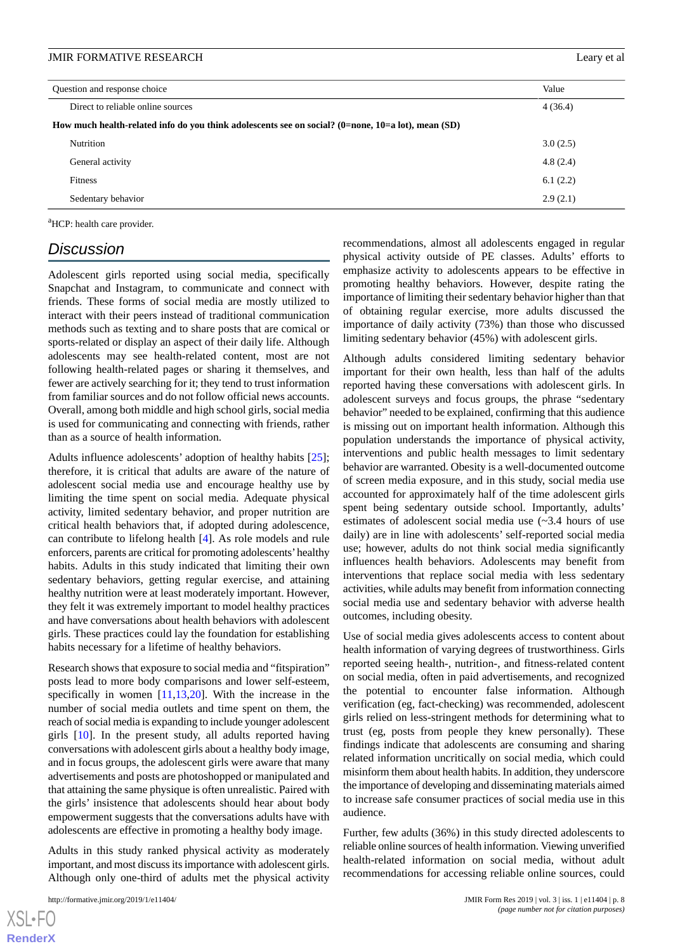| Question and response choice                                                                       |                                   | Value    |  |  |
|----------------------------------------------------------------------------------------------------|-----------------------------------|----------|--|--|
|                                                                                                    | Direct to reliable online sources | 4(36.4)  |  |  |
| How much health-related info do you think adolescents see on social? (0=none, 10=a lot), mean (SD) |                                   |          |  |  |
|                                                                                                    | Nutrition                         | 3.0(2.5) |  |  |
|                                                                                                    | General activity                  | 4.8(2.4) |  |  |
|                                                                                                    | Fitness                           | 6.1(2.2) |  |  |
|                                                                                                    | Sedentary behavior                | 2.9(2.1) |  |  |

<sup>a</sup>HCP: health care provider.

# *Discussion*

Adolescent girls reported using social media, specifically Snapchat and Instagram, to communicate and connect with friends. These forms of social media are mostly utilized to interact with their peers instead of traditional communication methods such as texting and to share posts that are comical or sports-related or display an aspect of their daily life. Although adolescents may see health-related content, most are not following health-related pages or sharing it themselves, and fewer are actively searching for it; they tend to trust information from familiar sources and do not follow official news accounts. Overall, among both middle and high school girls, social media is used for communicating and connecting with friends, rather than as a source of health information.

Adults influence adolescents' adoption of healthy habits [[25\]](#page-9-9); therefore, it is critical that adults are aware of the nature of adolescent social media use and encourage healthy use by limiting the time spent on social media. Adequate physical activity, limited sedentary behavior, and proper nutrition are critical health behaviors that, if adopted during adolescence, can contribute to lifelong health [\[4](#page-8-3)]. As role models and rule enforcers, parents are critical for promoting adolescents'healthy habits. Adults in this study indicated that limiting their own sedentary behaviors, getting regular exercise, and attaining healthy nutrition were at least moderately important. However, they felt it was extremely important to model healthy practices and have conversations about health behaviors with adolescent girls. These practices could lay the foundation for establishing habits necessary for a lifetime of healthy behaviors.

Research shows that exposure to social media and "fitspiration" posts lead to more body comparisons and lower self-esteem, specifically in women [[11](#page-9-2)[,13](#page-9-10),[20\]](#page-9-4). With the increase in the number of social media outlets and time spent on them, the reach of social media is expanding to include younger adolescent girls [[10\]](#page-9-1). In the present study, all adults reported having conversations with adolescent girls about a healthy body image, and in focus groups, the adolescent girls were aware that many advertisements and posts are photoshopped or manipulated and that attaining the same physique is often unrealistic. Paired with the girls' insistence that adolescents should hear about body empowerment suggests that the conversations adults have with adolescents are effective in promoting a healthy body image.

Adults in this study ranked physical activity as moderately important, and most discuss its importance with adolescent girls. Although only one-third of adults met the physical activity

recommendations, almost all adolescents engaged in regular physical activity outside of PE classes. Adults' efforts to emphasize activity to adolescents appears to be effective in promoting healthy behaviors. However, despite rating the importance of limiting their sedentary behavior higher than that of obtaining regular exercise, more adults discussed the importance of daily activity (73%) than those who discussed limiting sedentary behavior (45%) with adolescent girls.

Although adults considered limiting sedentary behavior important for their own health, less than half of the adults reported having these conversations with adolescent girls. In adolescent surveys and focus groups, the phrase "sedentary behavior" needed to be explained, confirming that this audience is missing out on important health information. Although this population understands the importance of physical activity, interventions and public health messages to limit sedentary behavior are warranted. Obesity is a well-documented outcome of screen media exposure, and in this study, social media use accounted for approximately half of the time adolescent girls spent being sedentary outside school. Importantly, adults' estimates of adolescent social media use (~3.4 hours of use daily) are in line with adolescents' self-reported social media use; however, adults do not think social media significantly influences health behaviors. Adolescents may benefit from interventions that replace social media with less sedentary activities, while adults may benefit from information connecting social media use and sedentary behavior with adverse health outcomes, including obesity.

Use of social media gives adolescents access to content about health information of varying degrees of trustworthiness. Girls reported seeing health-, nutrition-, and fitness-related content on social media, often in paid advertisements, and recognized the potential to encounter false information. Although verification (eg, fact-checking) was recommended, adolescent girls relied on less-stringent methods for determining what to trust (eg, posts from people they knew personally). These findings indicate that adolescents are consuming and sharing related information uncritically on social media, which could misinform them about health habits. In addition, they underscore the importance of developing and disseminating materials aimed to increase safe consumer practices of social media use in this audience.

Further, few adults (36%) in this study directed adolescents to reliable online sources of health information. Viewing unverified health-related information on social media, without adult recommendations for accessing reliable online sources, could

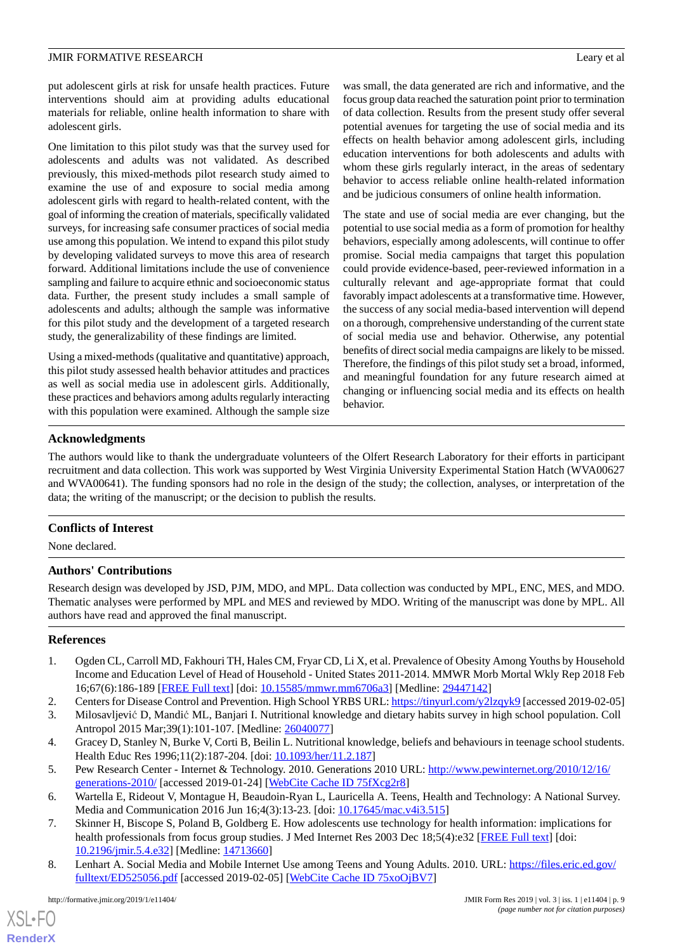put adolescent girls at risk for unsafe health practices. Future interventions should aim at providing adults educational materials for reliable, online health information to share with adolescent girls.

One limitation to this pilot study was that the survey used for adolescents and adults was not validated. As described previously, this mixed-methods pilot research study aimed to examine the use of and exposure to social media among adolescent girls with regard to health-related content, with the goal of informing the creation of materials, specifically validated surveys, for increasing safe consumer practices of social media use among this population. We intend to expand this pilot study by developing validated surveys to move this area of research forward. Additional limitations include the use of convenience sampling and failure to acquire ethnic and socioeconomic status data. Further, the present study includes a small sample of adolescents and adults; although the sample was informative for this pilot study and the development of a targeted research study, the generalizability of these findings are limited.

Using a mixed-methods (qualitative and quantitative) approach, this pilot study assessed health behavior attitudes and practices as well as social media use in adolescent girls. Additionally, these practices and behaviors among adults regularly interacting with this population were examined. Although the sample size

was small, the data generated are rich and informative, and the focus group data reached the saturation point prior to termination of data collection. Results from the present study offer several potential avenues for targeting the use of social media and its effects on health behavior among adolescent girls, including education interventions for both adolescents and adults with whom these girls regularly interact, in the areas of sedentary behavior to access reliable online health-related information and be judicious consumers of online health information.

The state and use of social media are ever changing, but the potential to use social media as a form of promotion for healthy behaviors, especially among adolescents, will continue to offer promise. Social media campaigns that target this population could provide evidence-based, peer-reviewed information in a culturally relevant and age-appropriate format that could favorably impact adolescents at a transformative time. However, the success of any social media-based intervention will depend on a thorough, comprehensive understanding of the current state of social media use and behavior. Otherwise, any potential benefits of direct social media campaigns are likely to be missed. Therefore, the findings of this pilot study set a broad, informed, and meaningful foundation for any future research aimed at changing or influencing social media and its effects on health behavior.

# **Acknowledgments**

The authors would like to thank the undergraduate volunteers of the Olfert Research Laboratory for their efforts in participant recruitment and data collection. This work was supported by West Virginia University Experimental Station Hatch (WVA00627 and WVA00641). The funding sponsors had no role in the design of the study; the collection, analyses, or interpretation of the data; the writing of the manuscript; or the decision to publish the results.

### **Conflicts of Interest**

None declared.

### **Authors' Contributions**

<span id="page-8-0"></span>Research design was developed by JSD, PJM, MDO, and MPL. Data collection was conducted by MPL, ENC, MES, and MDO. Thematic analyses were performed by MPL and MES and reviewed by MDO. Writing of the manuscript was done by MPL. All authors have read and approved the final manuscript.

### <span id="page-8-2"></span><span id="page-8-1"></span>**References**

- <span id="page-8-3"></span>1. Ogden CL, Carroll MD, Fakhouri TH, Hales CM, Fryar CD, Li X, et al. Prevalence of Obesity Among Youths by Household Income and Education Level of Head of Household - United States 2011-2014. MMWR Morb Mortal Wkly Rep 2018 Feb 16;67(6):186-189 [[FREE Full text](https://dx.doi.org/10.15585/mmwr.mm6706a3)] [doi: [10.15585/mmwr.mm6706a3\]](http://dx.doi.org/10.15585/mmwr.mm6706a3) [Medline: [29447142\]](http://www.ncbi.nlm.nih.gov/entrez/query.fcgi?cmd=Retrieve&db=PubMed&list_uids=29447142&dopt=Abstract)
- <span id="page-8-4"></span>2. Centers for Disease Control and Prevention. High School YRBS URL:<https://tinyurl.com/y2lzqyk9> [accessed 2019-02-05]
- <span id="page-8-5"></span>3. Milosavljević D, Mandić ML, Banjari I. Nutritional knowledge and dietary habits survey in high school population. Coll Antropol 2015 Mar;39(1):101-107. [Medline: [26040077\]](http://www.ncbi.nlm.nih.gov/entrez/query.fcgi?cmd=Retrieve&db=PubMed&list_uids=26040077&dopt=Abstract)
- <span id="page-8-6"></span>4. Gracey D, Stanley N, Burke V, Corti B, Beilin L. Nutritional knowledge, beliefs and behaviours in teenage school students. Health Educ Res 1996;11(2):187-204. [doi: [10.1093/her/11.2.187](http://dx.doi.org/10.1093/her/11.2.187)]
- <span id="page-8-7"></span>5. Pew Research Center - Internet & Technology. 2010. Generations 2010 URL: [http://www.pewinternet.org/2010/12/16/](http://www.pewinternet.org/2010/12/16/generations-2010/) [generations-2010/](http://www.pewinternet.org/2010/12/16/generations-2010/) [accessed 2019-01-24] [[WebCite Cache ID 75fXcg2r8\]](http://www.webcitation.org/

                                75fXcg2r8)
- 6. Wartella E, Rideout V, Montague H, Beaudoin-Ryan L, Lauricella A. Teens, Health and Technology: A National Survey. Media and Communication 2016 Jun 16;4(3):13-23. [doi: [10.17645/mac.v4i3.515](http://dx.doi.org/10.17645/mac.v4i3.515)]
- 7. Skinner H, Biscope S, Poland B, Goldberg E. How adolescents use technology for health information: implications for health professionals from focus group studies. J Med Internet Res 2003 Dec 18;5(4):e32 [\[FREE Full text\]](http://www.jmir.org/2003/4/e32/) [doi: [10.2196/jmir.5.4.e32\]](http://dx.doi.org/10.2196/jmir.5.4.e32) [Medline: [14713660\]](http://www.ncbi.nlm.nih.gov/entrez/query.fcgi?cmd=Retrieve&db=PubMed&list_uids=14713660&dopt=Abstract)
- 8. Lenhart A. Social Media and Mobile Internet Use among Teens and Young Adults. 2010. URL: [https://files.eric.ed.gov/](https://files.eric.ed.gov/fulltext/ED525056.pdf) [fulltext/ED525056.pdf](https://files.eric.ed.gov/fulltext/ED525056.pdf) [accessed 2019-02-05] [\[WebCite Cache ID 75xoOjBV7](http://www.webcitation.org/

                                75xoOjBV7)]

[XSL](http://www.w3.org/Style/XSL)•FO **[RenderX](http://www.renderx.com/)**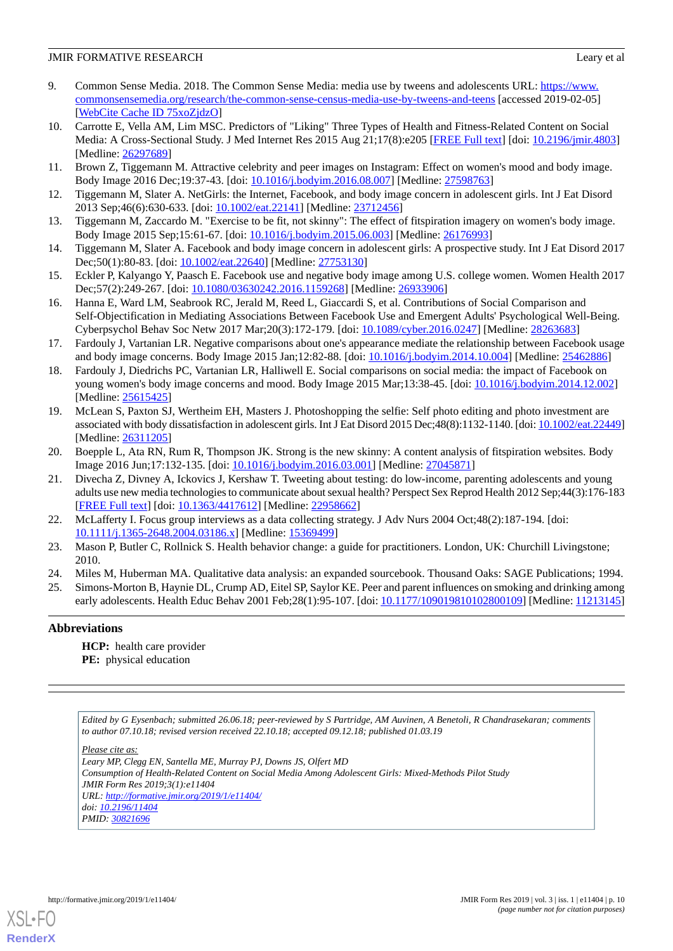- <span id="page-9-0"></span>9. Common Sense Media. 2018. The Common Sense Media: media use by tweens and adolescents URL: [https://www.](https://www.commonsensemedia.org/research/the-common-sense-census-media-use-by-tweens-and-teens) [commonsensemedia.org/research/the-common-sense-census-media-use-by-tweens-and-teens](https://www.commonsensemedia.org/research/the-common-sense-census-media-use-by-tweens-and-teens) [accessed 2019-02-05] [[WebCite Cache ID 75xoZjdzO](http://www.webcitation.org/

                                75xoZjdzO)]
- <span id="page-9-1"></span>10. Carrotte E, Vella AM, Lim MSC. Predictors of "Liking" Three Types of Health and Fitness-Related Content on Social Media: A Cross-Sectional Study. J Med Internet Res 2015 Aug 21;17(8):e205 [[FREE Full text](http://www.jmir.org/2015/8/e205/)] [doi: [10.2196/jmir.4803](http://dx.doi.org/10.2196/jmir.4803)] [Medline: [26297689](http://www.ncbi.nlm.nih.gov/entrez/query.fcgi?cmd=Retrieve&db=PubMed&list_uids=26297689&dopt=Abstract)]
- <span id="page-9-2"></span>11. Brown Z, Tiggemann M. Attractive celebrity and peer images on Instagram: Effect on women's mood and body image. Body Image 2016 Dec;19:37-43. [doi: [10.1016/j.bodyim.2016.08.007\]](http://dx.doi.org/10.1016/j.bodyim.2016.08.007) [Medline: [27598763\]](http://www.ncbi.nlm.nih.gov/entrez/query.fcgi?cmd=Retrieve&db=PubMed&list_uids=27598763&dopt=Abstract)
- <span id="page-9-10"></span>12. Tiggemann M, Slater A. NetGirls: the Internet, Facebook, and body image concern in adolescent girls. Int J Eat Disord 2013 Sep;46(6):630-633. [doi: [10.1002/eat.22141](http://dx.doi.org/10.1002/eat.22141)] [Medline: [23712456](http://www.ncbi.nlm.nih.gov/entrez/query.fcgi?cmd=Retrieve&db=PubMed&list_uids=23712456&dopt=Abstract)]
- 13. Tiggemann M, Zaccardo M. "Exercise to be fit, not skinny": The effect of fitspiration imagery on women's body image. Body Image 2015 Sep;15:61-67. [doi: [10.1016/j.bodyim.2015.06.003\]](http://dx.doi.org/10.1016/j.bodyim.2015.06.003) [Medline: [26176993](http://www.ncbi.nlm.nih.gov/entrez/query.fcgi?cmd=Retrieve&db=PubMed&list_uids=26176993&dopt=Abstract)]
- 14. Tiggemann M, Slater A. Facebook and body image concern in adolescent girls: A prospective study. Int J Eat Disord 2017 Dec;50(1):80-83. [doi: [10.1002/eat.22640](http://dx.doi.org/10.1002/eat.22640)] [Medline: [27753130\]](http://www.ncbi.nlm.nih.gov/entrez/query.fcgi?cmd=Retrieve&db=PubMed&list_uids=27753130&dopt=Abstract)
- 15. Eckler P, Kalyango Y, Paasch E. Facebook use and negative body image among U.S. college women. Women Health 2017 Dec;57(2):249-267. [doi: [10.1080/03630242.2016.1159268\]](http://dx.doi.org/10.1080/03630242.2016.1159268) [Medline: [26933906\]](http://www.ncbi.nlm.nih.gov/entrez/query.fcgi?cmd=Retrieve&db=PubMed&list_uids=26933906&dopt=Abstract)
- 16. Hanna E, Ward LM, Seabrook RC, Jerald M, Reed L, Giaccardi S, et al. Contributions of Social Comparison and Self-Objectification in Mediating Associations Between Facebook Use and Emergent Adults' Psychological Well-Being. Cyberpsychol Behav Soc Netw 2017 Mar;20(3):172-179. [doi: [10.1089/cyber.2016.0247\]](http://dx.doi.org/10.1089/cyber.2016.0247) [Medline: [28263683\]](http://www.ncbi.nlm.nih.gov/entrez/query.fcgi?cmd=Retrieve&db=PubMed&list_uids=28263683&dopt=Abstract)
- 17. Fardouly J, Vartanian LR. Negative comparisons about one's appearance mediate the relationship between Facebook usage and body image concerns. Body Image 2015 Jan;12:82-88. [doi: [10.1016/j.bodyim.2014.10.004\]](http://dx.doi.org/10.1016/j.bodyim.2014.10.004) [Medline: [25462886\]](http://www.ncbi.nlm.nih.gov/entrez/query.fcgi?cmd=Retrieve&db=PubMed&list_uids=25462886&dopt=Abstract)
- <span id="page-9-3"></span>18. Fardouly J, Diedrichs PC, Vartanian LR, Halliwell E. Social comparisons on social media: the impact of Facebook on young women's body image concerns and mood. Body Image 2015 Mar;13:38-45. [doi: [10.1016/j.bodyim.2014.12.002\]](http://dx.doi.org/10.1016/j.bodyim.2014.12.002) [Medline: [25615425](http://www.ncbi.nlm.nih.gov/entrez/query.fcgi?cmd=Retrieve&db=PubMed&list_uids=25615425&dopt=Abstract)]
- <span id="page-9-4"></span>19. McLean S, Paxton SJ, Wertheim EH, Masters J. Photoshopping the selfie: Self photo editing and photo investment are associated with body dissatisfaction in adolescent girls. Int J Eat Disord 2015 Dec;48(8):1132-1140. [doi: [10.1002/eat.22449\]](http://dx.doi.org/10.1002/eat.22449) [Medline: [26311205](http://www.ncbi.nlm.nih.gov/entrez/query.fcgi?cmd=Retrieve&db=PubMed&list_uids=26311205&dopt=Abstract)]
- <span id="page-9-5"></span>20. Boepple L, Ata RN, Rum R, Thompson JK. Strong is the new skinny: A content analysis of fitspiration websites. Body Image 2016 Jun;17:132-135. [doi: [10.1016/j.bodyim.2016.03.001](http://dx.doi.org/10.1016/j.bodyim.2016.03.001)] [Medline: [27045871](http://www.ncbi.nlm.nih.gov/entrez/query.fcgi?cmd=Retrieve&db=PubMed&list_uids=27045871&dopt=Abstract)]
- <span id="page-9-7"></span><span id="page-9-6"></span>21. Divecha Z, Divney A, Ickovics J, Kershaw T. Tweeting about testing: do low-income, parenting adolescents and young adults use new media technologies to communicate about sexual health? Perspect Sex Reprod Health 2012 Sep;44(3):176-183 [[FREE Full text](http://europepmc.org/abstract/MED/22958662)] [doi: [10.1363/4417612\]](http://dx.doi.org/10.1363/4417612) [Medline: [22958662\]](http://www.ncbi.nlm.nih.gov/entrez/query.fcgi?cmd=Retrieve&db=PubMed&list_uids=22958662&dopt=Abstract)
- <span id="page-9-9"></span><span id="page-9-8"></span>22. McLafferty I. Focus group interviews as a data collecting strategy. J Adv Nurs 2004 Oct;48(2):187-194. [doi: [10.1111/j.1365-2648.2004.03186.x\]](http://dx.doi.org/10.1111/j.1365-2648.2004.03186.x) [Medline: [15369499\]](http://www.ncbi.nlm.nih.gov/entrez/query.fcgi?cmd=Retrieve&db=PubMed&list_uids=15369499&dopt=Abstract)
- 23. Mason P, Butler C, Rollnick S. Health behavior change: a guide for practitioners. London, UK: Churchill Livingstone; 2010.
- 24. Miles M, Huberman MA. Qualitative data analysis: an expanded sourcebook. Thousand Oaks: SAGE Publications; 1994.
- 25. Simons-Morton B, Haynie DL, Crump AD, Eitel SP, Saylor KE. Peer and parent influences on smoking and drinking among early adolescents. Health Educ Behav 2001 Feb;28(1):95-107. [doi: [10.1177/109019810102800109](http://dx.doi.org/10.1177/109019810102800109)] [Medline: [11213145](http://www.ncbi.nlm.nih.gov/entrez/query.fcgi?cmd=Retrieve&db=PubMed&list_uids=11213145&dopt=Abstract)]

### **Abbreviations**

**HCP:** health care provider **PE:** physical education

*Edited by G Eysenbach; submitted 26.06.18; peer-reviewed by S Partridge, AM Auvinen, A Benetoli, R Chandrasekaran; comments to author 07.10.18; revised version received 22.10.18; accepted 09.12.18; published 01.03.19*

*Please cite as:*

*Leary MP, Clegg EN, Santella ME, Murray PJ, Downs JS, Olfert MD Consumption of Health-Related Content on Social Media Among Adolescent Girls: Mixed-Methods Pilot Study JMIR Form Res 2019;3(1):e11404 URL: <http://formative.jmir.org/2019/1/e11404/> doi: [10.2196/11404](http://dx.doi.org/10.2196/11404) PMID: [30821696](http://www.ncbi.nlm.nih.gov/entrez/query.fcgi?cmd=Retrieve&db=PubMed&list_uids=30821696&dopt=Abstract)*



[XSL](http://www.w3.org/Style/XSL)•FO **[RenderX](http://www.renderx.com/)**